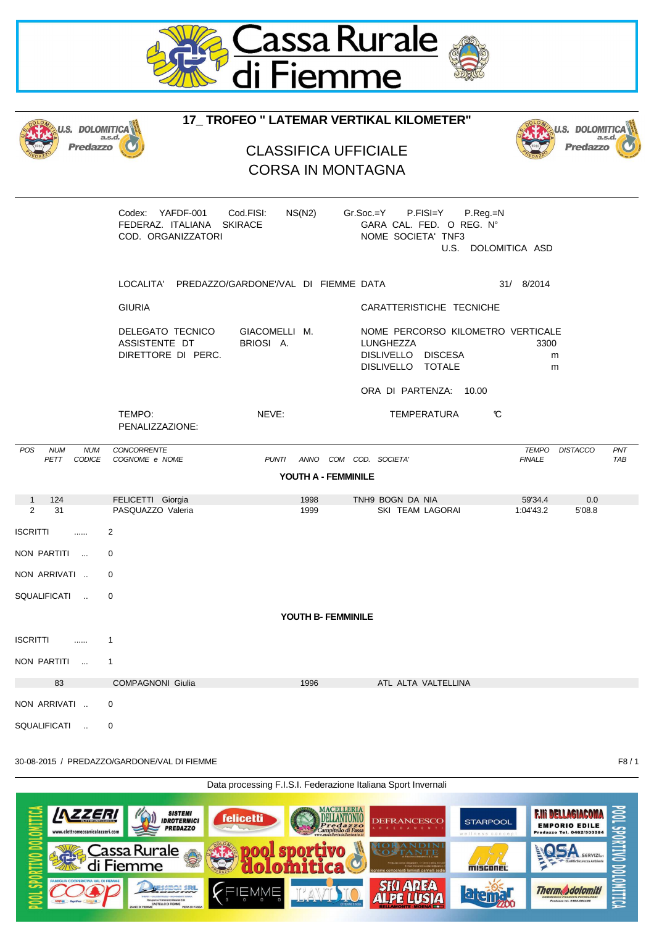

| J.S. DOLOMITICA                                          | <b>U.S. DOLOMIT</b>                                                 |                                                         |                                                                                                                     |                                                  |                   |
|----------------------------------------------------------|---------------------------------------------------------------------|---------------------------------------------------------|---------------------------------------------------------------------------------------------------------------------|--------------------------------------------------|-------------------|
| Predazzo                                                 | a.s.d.                                                              | <b>CLASSIFICA UFFICIALE</b><br><b>CORSA IN MONTAGNA</b> |                                                                                                                     | a.s.d.<br>Predazzo                               |                   |
|                                                          | Codex: YAFDF-001<br>FEDERAZ. ITALIANA SKIRACE<br>COD. ORGANIZZATORI | Cod.FISI:<br>NS(N2)                                     | P.FISI=Y<br>$Gr.Soc = Y$<br>P.Reg.=N<br>GARA CAL. FED. O REG. Nº<br>NOME SOCIETA' TNF3                              | U.S. DOLOMITICA ASD                              |                   |
|                                                          | LOCALITA' PREDAZZO/GARDONE'/VAL DI FIEMME DATA                      |                                                         |                                                                                                                     | 31/ 8/2014                                       |                   |
|                                                          | <b>GIURIA</b>                                                       |                                                         | CARATTERISTICHE TECNICHE                                                                                            |                                                  |                   |
|                                                          | DELEGATO TECNICO<br>ASSISTENTE DT<br>DIRETTORE DI PERC.             | GIACOMELLI M.<br>BRIOSI A.                              | NOME PERCORSO KILOMETRO VERTICALE<br>LUNGHEZZA<br>DISLIVELLO DISCESA<br>DISLIVELLO TOTALE<br>ORA DI PARTENZA: 10.00 | 3300<br>m<br>m                                   |                   |
|                                                          | TEMPO:<br>PENALIZZAZIONE:                                           | NEVE:                                                   | TEMPERATURA                                                                                                         | C                                                |                   |
| <b>POS</b><br><b>NUM</b><br><b>NUM</b><br>CODICE<br>PETT | <b>CONCORRENTE</b><br>COGNOME e NOME                                | <b>PUNTI</b><br>YOUTH A - FEMMINILE                     | ANNO COM COD. SOCIETA'                                                                                              | <b>TEMPO</b><br><b>DISTACCO</b><br><b>FINALE</b> | PNT<br><b>TAB</b> |
|                                                          |                                                                     |                                                         |                                                                                                                     |                                                  |                   |
| $\mathbf{1}$<br>124<br>31<br>2                           | FELICETTI Giorgia<br>PASQUAZZO Valeria                              | 1998<br>1999                                            | TNH9 BOGN DA NIA<br>SKI TEAM LAGORAI                                                                                | 59'34.4<br>0.0<br>1:04'43.2<br>5'08.8            |                   |
| <b>ISCRITTI</b><br>                                      | 2                                                                   |                                                         |                                                                                                                     |                                                  |                   |
| NON PARTITI                                              | 0                                                                   |                                                         |                                                                                                                     |                                                  |                   |
| NON ARRIVATI                                             | 0                                                                   |                                                         |                                                                                                                     |                                                  |                   |
| SQUALIFICATI                                             | 0                                                                   |                                                         |                                                                                                                     |                                                  |                   |
|                                                          |                                                                     | YOUTH B- FEMMINILE                                      |                                                                                                                     |                                                  |                   |
| <b>ISCRITTI</b><br>$\cdots$                              | 1                                                                   |                                                         |                                                                                                                     |                                                  |                   |
| NON PARTITI<br>$\sim$                                    | $\mathbf{1}$                                                        |                                                         |                                                                                                                     |                                                  |                   |
| 83                                                       | <b>COMPAGNONI Giulia</b>                                            | 1996                                                    | ATL ALTA VALTELLINA                                                                                                 |                                                  |                   |
| NON ARRIVATI                                             | 0                                                                   |                                                         |                                                                                                                     |                                                  |                   |
| SQUALIFICATI<br>$\ddot{\phantom{a}}$                     | 0                                                                   |                                                         |                                                                                                                     |                                                  |                   |

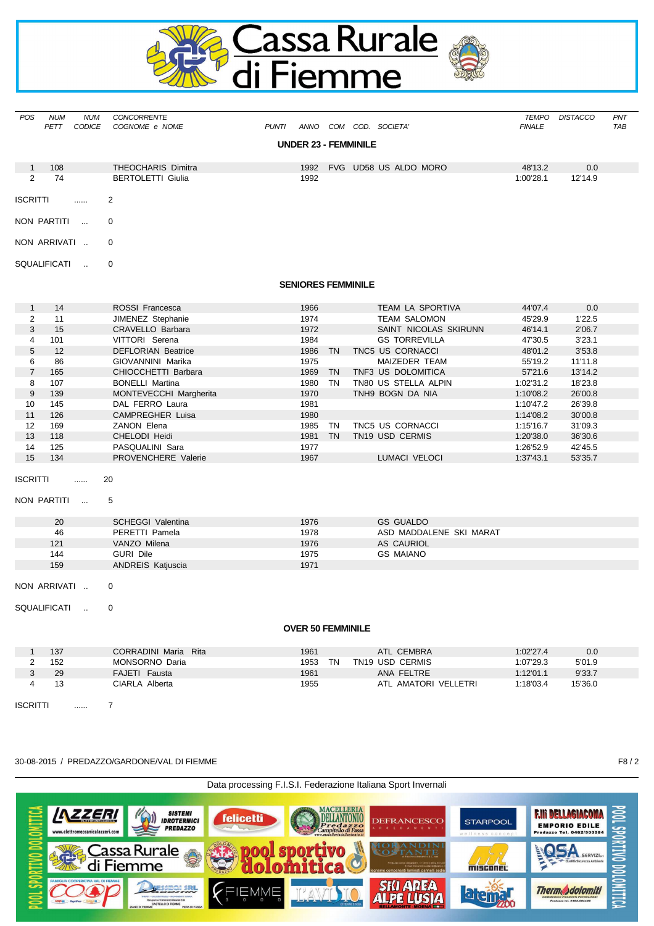

| POS              | <b>NUM</b><br>PETT  | <b>NUM</b><br>CODICE | CONCORRENTE<br>COGNOME e NOME | <b>PUNTI</b> |                             |      | ANNO COM COD. SOCIETA'  | TEMPO<br><b>FINALE</b> | <b>DISTACCO</b> | PNT<br>TAB |
|------------------|---------------------|----------------------|-------------------------------|--------------|-----------------------------|------|-------------------------|------------------------|-----------------|------------|
|                  |                     |                      |                               |              | <b>UNDER 23 - FEMMINILE</b> |      |                         |                        |                 |            |
| $\mathbf{1}$     | 108                 |                      | <b>THEOCHARIS Dimitra</b>     |              | 1992                        |      | FVG UD58 US ALDO MORO   | 48'13.2                | 0.0             |            |
| $\overline{2}$   | 74                  |                      | <b>BERTOLETTI Giulia</b>      |              | 1992                        |      |                         | 1:00'28.1              | 12'14.9         |            |
| ISCRITTI         |                     |                      | 2                             |              |                             |      |                         |                        |                 |            |
|                  | NON PARTITI         | $\sim$               | 0                             |              |                             |      |                         |                        |                 |            |
|                  | NON ARRIVATI        |                      | 0                             |              |                             |      |                         |                        |                 |            |
|                  | <b>SQUALIFICATI</b> | $\ddot{\phantom{a}}$ | 0                             |              |                             |      |                         |                        |                 |            |
|                  |                     |                      |                               |              | <b>SENIORES FEMMINILE</b>   |      |                         |                        |                 |            |
| $\mathbf{1}$     | 14                  |                      | ROSSI Francesca               |              | 1966                        |      | TEAM LA SPORTIVA        | 44'07.4                | 0.0             |            |
| $\overline{2}$   | 11                  |                      | JIMENEZ Stephanie             |              | 1974                        |      | <b>TEAM SALOMON</b>     | 45'29.9                | 1'22.5          |            |
| 3                | 15                  |                      | <b>CRAVELLO Barbara</b>       |              | 1972                        |      | SAINT NICOLAS SKIRUNN   | 46'14.1                | 2'06.7          |            |
| $\overline{4}$   | 101                 |                      | VITTORI Serena                |              | 1984                        |      | <b>GS TORREVILLA</b>    | 47'30.5                | 3'23.1          |            |
| 5                | 12                  |                      | <b>DEFLORIAN Beatrice</b>     |              | 1986 TN                     |      | TNC5 US CORNACCI        | 48'01.2                | 3'53.8          |            |
| 6                | 86                  |                      | GIOVANNINI Marika             |              | 1975                        |      | MAIZEDER TEAM           | 55'19.2                | 11'11.8         |            |
| $\overline{7}$   | 165                 |                      | CHIOCCHETTI Barbara           |              | 1969 TN                     |      | TNF3 US DOLOMITICA      | 57'21.6                | 13'14.2         |            |
| 8                | 107                 |                      | <b>BONELLI Martina</b>        |              | 1980                        | - TN | TN80 US STELLA ALPIN    | 1:02'31.2              | 18'23.8         |            |
| $\boldsymbol{9}$ | 139                 |                      | MONTEVECCHI Margherita        |              | 1970                        |      | TNH9 BOGN DA NIA        | 1:10'08.2              | 26'00.8         |            |
| 10               | 145                 |                      | DAL FERRO Laura               |              | 1981                        |      |                         | 1:10'47.2              | 26'39.8         |            |
| 11               | 126                 |                      | <b>CAMPREGHER Luisa</b>       |              | 1980                        |      |                         | 1:14'08.2              | 30'00.8         |            |
| 12               | 169                 |                      | ZANON Elena                   |              | 1985 TN                     |      | TNC5 US CORNACCI        | 1:15'16.7              | 31'09.3         |            |
|                  |                     |                      |                               |              | 1981 TN                     |      | TN19 USD CERMIS         |                        |                 |            |
| 13               | 118                 |                      | CHELODI Heidi                 |              |                             |      |                         | 1:20'38.0              | 36'30.6         |            |
| 14               | 125                 |                      | PASQUALINI Sara               |              | 1977                        |      |                         | 1:26'52.9              | 42'45.5         |            |
| 15               | 134                 |                      | PROVENCHERE Valerie           |              | 1967                        |      | LUMACI VELOCI           | 1:37'43.1              | 53'35.7         |            |
| ISCRITTI         |                     | .                    | 20                            |              |                             |      |                         |                        |                 |            |
|                  | NON PARTITI         | $\sim$               | 5                             |              |                             |      |                         |                        |                 |            |
|                  | 20                  |                      | <b>SCHEGGI Valentina</b>      |              | 1976                        |      | <b>GS GUALDO</b>        |                        |                 |            |
|                  | 46                  |                      | PERETTI Pamela                |              | 1978                        |      | ASD MADDALENE SKI MARAT |                        |                 |            |
|                  | 121                 |                      | VANZO Milena                  |              | 1976                        |      | <b>AS CAURIOL</b>       |                        |                 |            |
|                  | 144                 |                      | <b>GURI Dile</b>              |              | 1975                        |      | <b>GS MAIANO</b>        |                        |                 |            |
|                  | 159                 |                      | ANDREIS Katjuscia             |              | 1971                        |      |                         |                        |                 |            |
|                  | NON ARRIVATI        |                      | 0                             |              |                             |      |                         |                        |                 |            |
|                  | SQUALIFICATI        |                      | $\Omega$                      |              |                             |      |                         |                        |                 |            |
|                  |                     |                      |                               |              | <b>OVER 50 FEMMINILE</b>    |      |                         |                        |                 |            |
|                  |                     |                      |                               |              |                             |      |                         |                        |                 |            |
| $\mathbf{1}$     | 137                 |                      | CORRADINI Maria Rita          |              | 1961                        |      | ATL CEMBRA              | 1:02'27.4              | 0.0             |            |
| $\overline{2}$   | 152                 |                      | MONSORNO Daria                |              | 1953 TN                     |      | TN19 USD CERMIS         | 1:07'29.3              | 5'01.9          |            |
| 3                | 29                  |                      | FAJETI Fausta                 |              | 1961                        |      | ANA FELTRE              | 1:12'01.1              | 9'33.7          |            |
| 4                | 13                  |                      | CIARLA Alberta                |              | 1955                        |      | ATL AMATORI VELLETRI    | 1:18'03.4              | 15'36.0         |            |
| <b>ISCRITTI</b>  |                     | .                    | $\overline{7}$                |              |                             |      |                         |                        |                 |            |

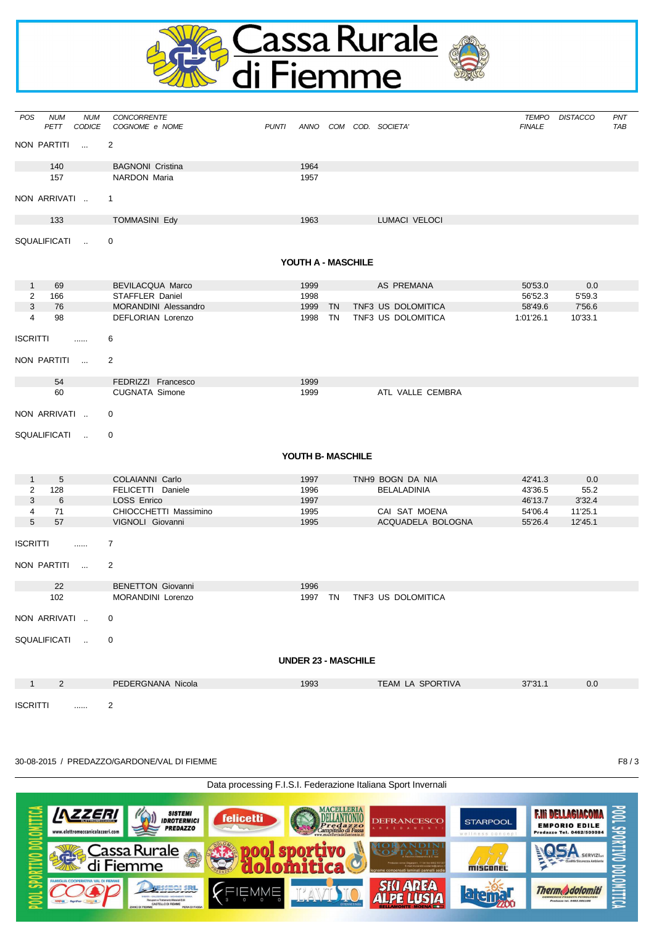

| POS             | <b>NUM</b><br>PETT | <b>NUM</b><br><b>CODICE</b> | CONCORRENTE<br>COGNOME e NOME | <b>PUNTI</b> |                            |    | ANNO COM COD. SOCIETA' | TEMPO<br><b>FINALE</b> | <b>DISTACCO</b> | <b>PNT</b><br>TAB |
|-----------------|--------------------|-----------------------------|-------------------------------|--------------|----------------------------|----|------------------------|------------------------|-----------------|-------------------|
| NON PARTITI     |                    | $\sim$                      | $\overline{2}$                |              |                            |    |                        |                        |                 |                   |
|                 | 140                |                             | <b>BAGNONI Cristina</b>       |              | 1964                       |    |                        |                        |                 |                   |
|                 | 157                |                             | <b>NARDON Maria</b>           |              | 1957                       |    |                        |                        |                 |                   |
| NON ARRIVATI    |                    |                             | $\mathbf{1}$                  |              |                            |    |                        |                        |                 |                   |
|                 | 133                |                             | <b>TOMMASINI Edy</b>          |              | 1963                       |    | <b>LUMACI VELOCI</b>   |                        |                 |                   |
| SQUALIFICATI    |                    | $\sim$                      | 0                             |              |                            |    |                        |                        |                 |                   |
|                 |                    |                             |                               |              | YOUTH A - MASCHILE         |    |                        |                        |                 |                   |
| $\mathbf{1}$    | 69                 |                             | <b>BEVILACQUA Marco</b>       |              | 1999                       |    | AS PREMANA             | 50'53.0                | 0.0             |                   |
| 2               | 166                |                             | STAFFLER Daniel               |              | 1998                       |    |                        | 56'52.3                | 5'59.3          |                   |
| 3               | 76                 |                             | MORANDINI Alessandro          |              | 1999 TN                    |    | TNF3 US DOLOMITICA     | 58'49.6                | 7'56.6          |                   |
| $\overline{4}$  | 98                 |                             | DEFLORIAN Lorenzo             |              | 1998                       | TN | TNF3 US DOLOMITICA     | 1:01'26.1              | 10'33.1         |                   |
| <b>ISCRITTI</b> |                    |                             | 6                             |              |                            |    |                        |                        |                 |                   |
| NON PARTITI     |                    | $\sim$                      | 2                             |              |                            |    |                        |                        |                 |                   |
|                 | 54                 |                             | FEDRIZZI Francesco            |              | 1999                       |    |                        |                        |                 |                   |
|                 | 60                 |                             | <b>CUGNATA Simone</b>         |              | 1999                       |    | ATL VALLE CEMBRA       |                        |                 |                   |
| NON ARRIVATI    |                    |                             | 0                             |              |                            |    |                        |                        |                 |                   |
| SQUALIFICATI    |                    | $\sim$                      | 0                             |              |                            |    |                        |                        |                 |                   |
|                 |                    |                             |                               |              | YOUTH B- MASCHILE          |    |                        |                        |                 |                   |
| $\mathbf{1}$    | 5                  |                             | COLAIANNI Carlo               |              | 1997                       |    | TNH9 BOGN DA NIA       | 42'41.3                | 0.0             |                   |
| 2               | 128                |                             | FELICETTI Daniele             |              | 1996                       |    | <b>BELALADINIA</b>     | 43'36.5                | 55.2            |                   |
| 3               | 6                  |                             | LOSS Enrico                   |              | 1997                       |    |                        | 46'13.7                | 3'32.4          |                   |
| 4               | 71                 |                             | CHIOCCHETTI Massimino         |              | 1995                       |    | CAI SAT MOENA          | 54'06.4                | 11'25.1         |                   |
| 5               | 57                 |                             | VIGNOLI Giovanni              |              | 1995                       |    | ACQUADELA BOLOGNA      | 55'26.4                | 12'45.1         |                   |
| <b>ISCRITTI</b> |                    | $\ldots$                    | $\overline{7}$                |              |                            |    |                        |                        |                 |                   |
|                 |                    |                             |                               |              |                            |    |                        |                        |                 |                   |
| NON PARTITI     |                    | $\sim$                      | $\overline{2}$                |              |                            |    |                        |                        |                 |                   |
|                 | 22                 |                             | <b>BENETTON Giovanni</b>      |              | 1996                       |    |                        |                        |                 |                   |
|                 | 102                |                             | MORANDINI Lorenzo             |              | 1997 TN                    |    | TNF3 US DOLOMITICA     |                        |                 |                   |
| NON ARRIVATI    |                    |                             | 0                             |              |                            |    |                        |                        |                 |                   |
| SQUALIFICATI    |                    |                             | 0                             |              |                            |    |                        |                        |                 |                   |
|                 |                    |                             |                               |              | <b>UNDER 23 - MASCHILE</b> |    |                        |                        |                 |                   |
| -1              | $\overline{2}$     |                             | PEDERGNANA Nicola             |              | 1993                       |    | TEAM LA SPORTIVA       | 37'31.1                | 0.0             |                   |
| <b>ISCRITTI</b> |                    | .                           | $\overline{2}$                |              |                            |    |                        |                        |                 |                   |

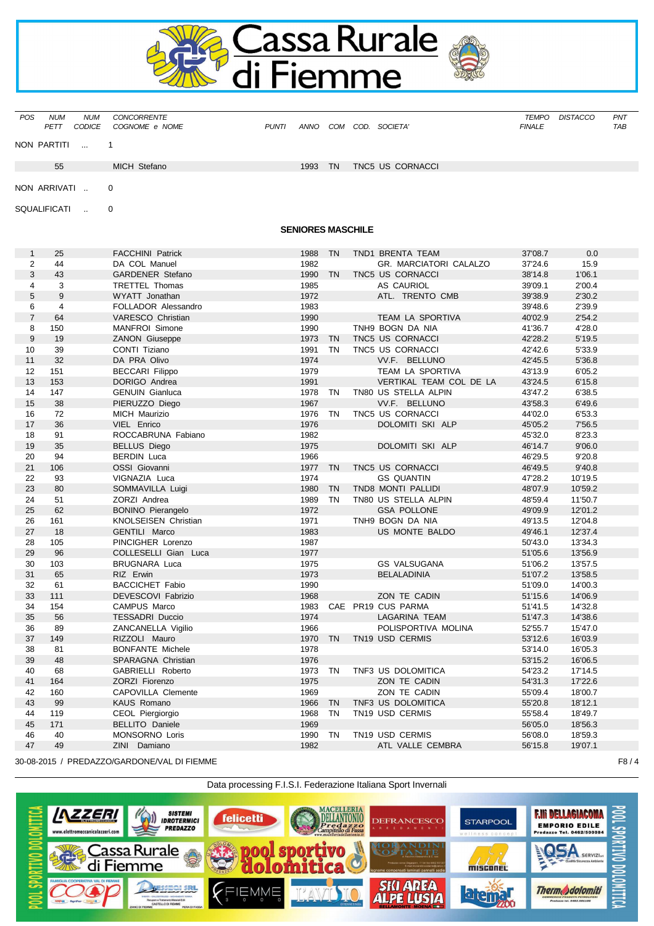

| <b>POS</b> | <b>NUM</b>   | <b>NUM</b>     | CONCORRENTE    |              |      |           |                  | TEMPO         | DISTACCO | <b>PNT</b> |
|------------|--------------|----------------|----------------|--------------|------|-----------|------------------|---------------|----------|------------|
|            | <b>PETT</b>  | CODICE         | COGNOME e NOME | <b>PUNTI</b> | ANNO | COM       | COD. SOCIETA'    | <b>FINALE</b> |          | TAB        |
|            |              | NON PARTITI  1 |                |              |      |           |                  |               |          |            |
|            | 55           |                | MICH Stefano   |              | 1993 | <b>TN</b> | TNC5 US CORNACCI |               |          |            |
|            | NON ARRIVATI |                | $\Omega$       |              |      |           |                  |               |          |            |

SQUALIFICATI .. 0

# **SENIORES MASCHILE**

| $\mathbf{1}$   | 25             | <b>FACCHINI Patrick</b>             | 1988         | <b>TN</b> | TND1 BRENTA TEAM        | 37'08.7            | 0.0                |
|----------------|----------------|-------------------------------------|--------------|-----------|-------------------------|--------------------|--------------------|
| 2              | 44             | DA COL Manuel                       | 1982         |           | GR. MARCIATORI CALALZO  | 37'24.6            | 15.9               |
| 3              | 43             | <b>GARDENER Stefano</b>             | 1990         | <b>TN</b> | TNC5 US CORNACCI        | 38'14.8            | 1'06.1             |
| $\overline{4}$ | 3              | <b>TRETTEL Thomas</b>               | 1985         |           | <b>AS CAURIOL</b>       | 39'09.1            | 2'00.4             |
| 5              | 9              | WYATT Jonathan                      | 1972         |           | ATL. TRENTO CMB         | 39'38.9            | 2'30.2             |
| 6              | $\overline{4}$ | FOLLADOR Alessandro                 | 1983         |           |                         | 39'48.6            | 2'39.9             |
| $\overline{7}$ | 64             | VARESCO Christian                   | 1990         |           | TEAM LA SPORTIVA        | 40'02.9            | 2'54.2             |
| 8              | 150            | <b>MANFROI</b> Simone               | 1990         |           | TNH9 BOGN DA NIA        | 41'36.7            | 4'28.0             |
| 9              | 19             | <b>ZANON Giuseppe</b>               | 1973         | <b>TN</b> | TNC5 US CORNACCI        | 42'28.2            | 5'19.5             |
| 10             | 39             | CONTI Tiziano                       | 1991         | <b>TN</b> | TNC5 US CORNACCI        | 42'42.6            | 5'33.9             |
| 11             | 32             | DA PRA Olivo                        | 1974         |           | VV.F. BELLUNO           | 42'45.5            | 5'36.8             |
| 12             | 151            | <b>BECCARI Filippo</b>              | 1979         |           | TEAM LA SPORTIVA        | 43'13.9            | 6'05.2             |
| 13             | 153            | DORIGO Andrea                       | 1991         |           | VERTIKAL TEAM COL DE LA | 43'24.5            | 6'15.8             |
| 14             | 147            | <b>GENUIN Gianluca</b>              | 1978         | TN        | TN80 US STELLA ALPIN    | 43'47.2            | 6'38.5             |
| 15             | 38             | PIERUZZO Diego                      | 1967         |           | VV.F. BELLUNO           | 43'58.3            | 6'49.6             |
| 16             | 72             | <b>MICH Maurizio</b>                | 1976         | <b>TN</b> | TNC5 US CORNACCI        | 44'02.0            | 6'53.3             |
| 17             | 36             | VIEL Enrico                         | 1976         |           | DOLOMITI SKI ALP        | 45'05.2            | 7'56.5             |
| 18             | 91             | ROCCABRUNA Fabiano                  | 1982         |           |                         | 45'32.0            | 8'23.3             |
| 19             | 35             | <b>BELLUS Diego</b>                 | 1975         |           | DOLOMITI SKI ALP        | 46'14.7            | 9'06.0             |
| 20             | 94             | <b>BERDIN Luca</b>                  | 1966         |           |                         | 46'29.5            | 9'20.8             |
| 21             | 106            | OSSI Giovanni                       | 1977         | <b>TN</b> | TNC5 US CORNACCI        | 46'49.5            | 9'40.8             |
| 22             | 93             | VIGNAZIA Luca                       | 1974         |           | <b>GS QUANTIN</b>       | 47'28.2            | 10'19.5            |
| 23             | 80             | SOMMAVILLA Luigi                    | 1980         | <b>TN</b> | TND8 MONTI PALLIDI      | 48'07.9            | 10'59.2            |
| 24             | 51             | ZORZI Andrea                        | 1989         | <b>TN</b> | TN80 US STELLA ALPIN    | 48'59.4            | 11'50.7            |
| 25             | 62             | <b>BONINO Pierangelo</b>            | 1972         |           | <b>GSA POLLONE</b>      | 49'09.9            | 12'01.2            |
| 26             | 161            | KNOLSEISEN Christian                | 1971         |           | TNH9 BOGN DA NIA        | 49'13.5            | 12'04.8            |
| 27             | 18             | GENTILI Marco                       | 1983         |           | US MONTE BALDO          | 49'46.1            | 12'37.4            |
| 28             | 105            | PINCIGHER Lorenzo                   | 1987         |           |                         | 50'43.0            | 13'34.3            |
| 29             | 96             | COLLESELLI Gian Luca                | 1977         |           |                         | 51'05.6            | 13'56.9            |
| 30             | 103            | <b>BRUGNARA Luca</b>                | 1975         |           | <b>GS VALSUGANA</b>     | 51'06.2            | 13'57.5            |
| 31<br>32       | 65<br>61       | RIZ Erwin<br><b>BACCICHET Fabio</b> | 1973<br>1990 |           | <b>BELALADINIA</b>      | 51'07.2<br>51'09.0 | 13'58.5<br>14'00.3 |
| 33             | 111            | DEVESCOVI Fabrizio                  | 1968         |           | ZON TE CADIN            | 51'15.6            | 14'06.9            |
| 34             | 154            | <b>CAMPUS Marco</b>                 | 1983         |           | CAE PR19 CUS PARMA      | 51'41.5            | 14'32.8            |
| 35             | 56             | <b>TESSADRI Duccio</b>              | 1974         |           | LAGARINA TEAM           | 51'47.3            | 14'38.6            |
| 36             | 89             | ZANCANELLA Vigilio                  | 1966         |           | POLISPORTIVA MOLINA     | 52'55.7            | 15'47.0            |
| 37             | 149            | RIZZOLI Mauro                       | 1970         | <b>TN</b> | TN19 USD CERMIS         | 53'12.6            | 16'03.9            |
| 38             | 81             | <b>BONFANTE Michele</b>             | 1978         |           |                         | 53'14.0            | 16'05.3            |
| 39             | 48             | SPARAGNA Christian                  | 1976         |           |                         | 53'15.2            | 16'06.5            |
| 40             | 68             | GABRIELLI Roberto                   | 1973         | <b>TN</b> | TNF3 US DOLOMITICA      | 54'23.2            | 17'14.5            |
| 41             | 164            | ZORZI Fiorenzo                      | 1975         |           | ZON TE CADIN            | 54'31.3            | 17'22.6            |
| 42             | 160            | CAPOVILLA Clemente                  | 1969         |           | ZON TE CADIN            | 55'09.4            | 18'00.7            |
| 43             | 99             | KAUS Romano                         | 1966         | <b>TN</b> | TNF3 US DOLOMITICA      | 55'20.8            | 18'12.1            |
| 44             | 119            | CEOL Piergiorgio                    | 1968         | <b>TN</b> | TN19 USD CERMIS         | 55'58.4            | 18'49.7            |
| 45             | 171            | <b>BELLITO Daniele</b>              | 1969         |           |                         | 56'05.0            | 18'56.3            |
| 46             | 40             | MONSORNO Loris                      | 1990         | <b>TN</b> | TN19 USD CERMIS         | 56'08.0            | 18'59.3            |
| 47             | 49             | ZINI Damiano                        | 1982         |           | ATL VALLE CEMBRA        | 56'15.8            | 19'07.1            |
|                |                |                                     |              |           |                         |                    |                    |

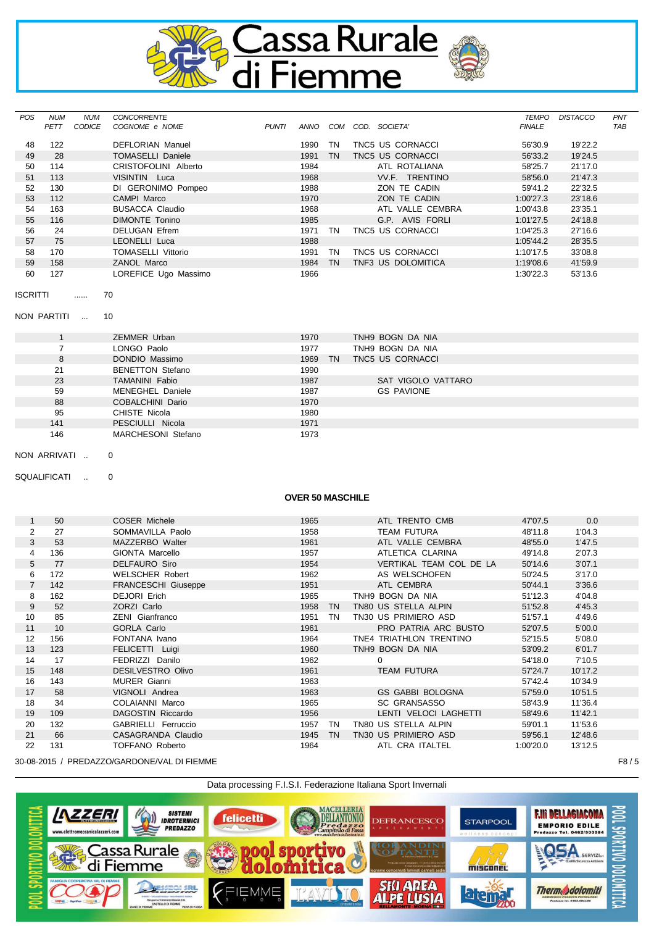

| <b>POS</b> | <b>NUM</b> | <b>NUM</b> | <b>CONCORRENTE</b>        |              |      |           |                    | <b>TEMPO</b>  | <b>DISTACCO</b> | <b>PNT</b> |
|------------|------------|------------|---------------------------|--------------|------|-----------|--------------------|---------------|-----------------|------------|
|            | PETT       | CODICE     | COGNOME e NOME            | <b>PUNTI</b> | ANNO | COM       | COD.<br>SOCIETA'   | <b>FINALE</b> |                 | <b>TAB</b> |
|            |            |            |                           |              |      |           |                    |               |                 |            |
| 48         | 122        |            | <b>DEFLORIAN Manuel</b>   |              | 1990 | ΤN        | TNC5 US CORNACCI   | 56'30.9       | 19'22.2         |            |
| 49         | 28         |            | <b>TOMASELLI Daniele</b>  |              | 1991 | <b>TN</b> | TNC5 US CORNACCI   | 56'33.2       | 19'24.5         |            |
| 50         | 114        |            | CRISTOFOLINI Alberto      |              | 1984 |           | ATL ROTALIANA      | 58'25.7       | 21'17.0         |            |
| 51         | 113        |            | VISINTIN Luca             |              | 1968 |           | VV.F. TRENTINO     | 58'56.0       | 21'47.3         |            |
| 52         | 130        |            | DI GERONIMO Pompeo        |              | 1988 |           | ZON TE CADIN       | 59'41.2       | 22'32.5         |            |
| 53         | 112        |            | CAMPI Marco               |              | 1970 |           | ZON TE CADIN       | 1:00'27.3     | 23'18.6         |            |
| 54         | 163        |            | <b>BUSACCA Claudio</b>    |              | 1968 |           | ATL VALLE CEMBRA   | 1:00'43.8     | 23'35.1         |            |
| 55         | 116        |            | <b>DIMONTE Tonino</b>     |              | 1985 |           | G.P. AVIS FORLI    | 1:01'27.5     | 24'18.8         |            |
| 56         | 24         |            | <b>DELUGAN Efrem</b>      |              | 1971 | ΤN        | TNC5 US CORNACCI   | 1:04'25.3     | 27'16.6         |            |
| 57         | 75         |            | LEONELLI Luca             |              | 1988 |           |                    | 1:05'44.2     | 28'35.5         |            |
| 58         | 170        |            | <b>TOMASELLI Vittorio</b> |              | 1991 | ΤN        | TNC5 US CORNACCI   | 1:10'17.5     | 33'08.8         |            |
| 59         | 158        |            | ZANOL Marco               |              | 1984 | <b>TN</b> | TNF3 US DOLOMITICA | 1:19'08.6     | 41'59.9         |            |
| 60         | 127        |            | LOREFICE Ugo Massimo      |              | 1966 |           |                    | 1:30'22.3     | 53'13.6         |            |

ISCRITTI ...... 70

NON PARTITI ... 10

|     | ZEMMER Urban            | 1970    | TNH9 BOGN DA NIA   |
|-----|-------------------------|---------|--------------------|
|     | LONGO Paolo             | 1977    | TNH9 BOGN DA NIA   |
| 8   | DONDIO Massimo          | 1969 TN | TNC5 US CORNACCI   |
| 21  | <b>BENETTON Stefano</b> | 1990    |                    |
| 23  | <b>TAMANINI Fabio</b>   | 1987    | SAT VIGOLO VATTARO |
| 59  | MENEGHEL Daniele        | 1987    | <b>GS PAVIONE</b>  |
| 88  | COBALCHINI Dario        | 1970    |                    |
| 95  | CHISTE Nicola           | 1980    |                    |
| 141 | PESCIULLI Nicola        | 1971    |                    |
| 146 | MARCHESONI Stefano      | 1973    |                    |

NON ARRIVATI .. 0

SQUALIFICATI .. 0

## **OVER 50 MASCHILE**

| $\mathbf{1}$    | 50  | COSER Michele              | 1965 |           | ATL TRENTO CMB          | 47'07.5   | 0.0     |
|-----------------|-----|----------------------------|------|-----------|-------------------------|-----------|---------|
| $\overline{2}$  | 27  | SOMMAVILLA Paolo           | 1958 |           | <b>TEAM FUTURA</b>      | 48'11.8   | 1'04.3  |
| 3               | 53  | MAZZERBO Walter            | 1961 |           | ATL VALLE CEMBRA        | 48'55.0   | 1'47.5  |
| 4               | 136 | GIONTA Marcello            | 1957 |           | ATLETICA CLARINA        | 49'14.8   | 2'07.3  |
| 5               | 77  | <b>DELFAURO Siro</b>       | 1954 |           | VERTIKAL TEAM COL DE LA | 50'14.6   | 3'07.1  |
| 6               | 172 | <b>WELSCHER Robert</b>     | 1962 |           | AS WELSCHOFEN           | 50'24.5   | 3'17.0  |
| $\overline{7}$  | 142 | <b>FRANCESCHI Giuseppe</b> | 1951 |           | ATL CEMBRA              | 50'44.1   | 3'36.6  |
| 8               | 162 | DEJORI Erich               | 1965 |           | TNH9 BOGN DA NIA        | 51'12.3   | 4'04.8  |
| 9               | 52  | ZORZI Carlo                | 1958 | <b>TN</b> | TN80 US STELLA ALPIN    | 51'52.8   | 4'45.3  |
| 10 <sup>1</sup> | 85  | <b>ZENI</b> Gianfranco     | 1951 | TN        | TN30 US PRIMIERO ASD    | 51'57.1   | 4'49.6  |
| 11              | 10  | <b>GORLA Carlo</b>         | 1961 |           | PRO PATRIA ARC BUSTO    | 52'07.5   | 5'00.0  |
| 12              | 156 | FONTANA Ivano              | 1964 |           | TNE4 TRIATHLON TRENTINO | 52'15.5   | 5'08.0  |
| 13              | 123 | FELICETTI Luigi            | 1960 |           | TNH9 BOGN DA NIA        | 53'09.2   | 6'01.7  |
| 14              | 17  | FEDRIZZI Danilo            | 1962 |           | $\Omega$                | 54'18.0   | 7'10.5  |
| 15              | 148 | <b>DESILVESTRO Olivo</b>   | 1961 |           | <b>TEAM FUTURA</b>      | 57'24.7   | 10'17.2 |
| 16              | 143 | <b>MURER Gianni</b>        | 1963 |           |                         | 57'42.4   | 10'34.9 |
| 17              | 58  | VIGNOLI Andrea             | 1963 |           | <b>GS GABBI BOLOGNA</b> | 57'59.0   | 10'51.5 |
| 18              | 34  | COLAIANNI Marco            | 1965 |           | <b>SC GRANSASSO</b>     | 58'43.9   | 11'36.4 |
| 19              | 109 | DAGOSTIN Riccardo          | 1956 |           | LENTI VELOCI LAGHETTI   | 58'49.6   | 11'42.1 |
| 20              | 132 | GABRIELLI Ferruccio        | 1957 | TN        | TN80 US STELLA ALPIN    | 59'01.1   | 11'53.6 |
| 21              | 66  | CASAGRANDA Claudio         | 1945 | <b>TN</b> | TN30 US PRIMIERO ASD    | 59'56.1   | 12'48.6 |
| 22              | 131 | <b>TOFFANO Roberto</b>     | 1964 |           | ATL CRA ITALTEL         | 1:00'20.0 | 13'12.5 |

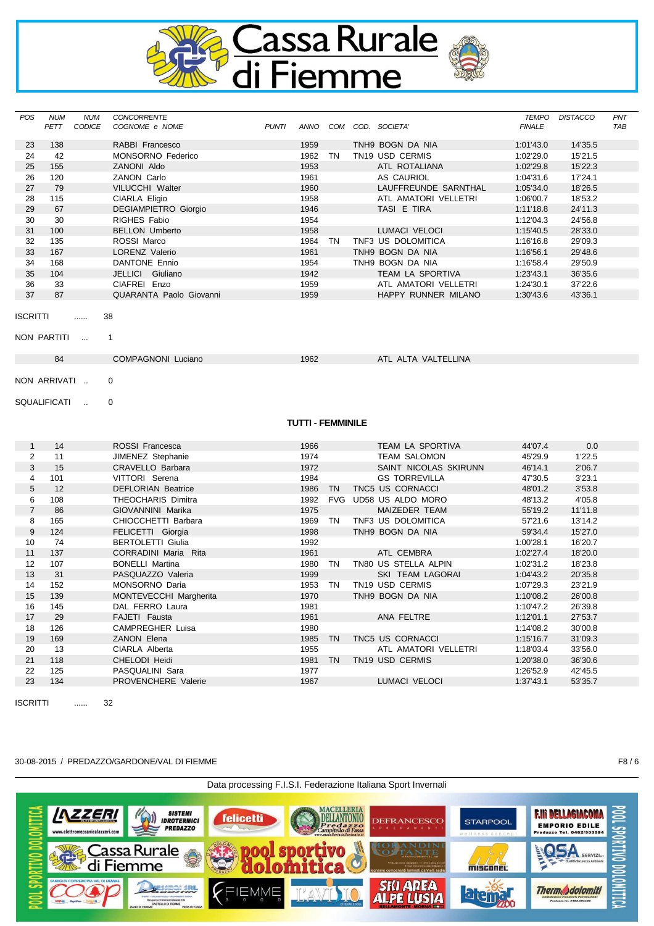

| <b>POS</b>     | <b>NUM</b><br>PETT | <b>NUM</b><br><b>CODICE</b> | CONCORRENTE<br>COGNOME e NOME             | <b>PUNTI</b> |                          |           | ANNO COM COD. SOCIETA'              | <b>TEMPO</b><br><b>FINALE</b> | <b>DISTACCO</b>    | PNT<br><b>TAB</b> |
|----------------|--------------------|-----------------------------|-------------------------------------------|--------------|--------------------------|-----------|-------------------------------------|-------------------------------|--------------------|-------------------|
| 23             | 138                |                             | RABBI Francesco                           |              | 1959                     |           | TNH9 BOGN DA NIA                    | 1:01'43.0                     | 14'35.5            |                   |
| 24             | 42                 |                             | <b>MONSORNO Federico</b>                  |              | 1962                     | <b>TN</b> | TN19 USD CERMIS                     | 1:02'29.0                     | 15'21.5            |                   |
| 25             | 155                |                             | ZANONI Aldo                               |              | 1953                     |           | ATL ROTALIANA                       | 1:02'29.8                     | 15'22.3            |                   |
| 26             | 120                |                             | ZANON Carlo                               |              | 1961                     |           | AS CAURIOL                          | 1:04'31.6                     | 17'24.1            |                   |
| 27             | 79                 |                             | VILUCCHI Walter                           |              | 1960                     |           | LAUFFREUNDE SARNTHAL                | 1:05'34.0                     | 18'26.5            |                   |
| 28             | 115                |                             | CIARLA Eligio                             |              | 1958                     |           | ATL AMATORI VELLETRI                | 1:06'00.7                     | 18'53.2            |                   |
| 29             | 67                 |                             | <b>DEGIAMPIETRO Giorgio</b>               |              | 1946                     |           | TASI E TIRA                         | 1:11'18.8                     | 24'11.3            |                   |
| 30             | 30                 |                             | RIGHES Fabio                              |              | 1954                     |           |                                     | 1:12'04.3                     | 24'56.8            |                   |
| 31             | 100                |                             | <b>BELLON Umberto</b>                     |              | 1958                     |           | LUMACI VELOCI                       | 1:15'40.5                     | 28'33.0            |                   |
| 32             | 135                |                             | ROSSI Marco                               |              | 1964 TN                  |           | TNF3 US DOLOMITICA                  | 1:16'16.8                     | 29'09.3            |                   |
| 33             | 167                |                             | LORENZ Valerio                            |              | 1961                     |           | TNH9 BOGN DA NIA                    | 1:16'56.1                     | 29'48.6            |                   |
| 34             | 168                |                             | DANTONE Ennio                             |              | 1954                     |           | TNH9 BOGN DA NIA                    | 1:16'58.4                     | 29'50.9            |                   |
| 35             | 104                |                             | JELLICI Giuliano                          |              | 1942                     |           | TEAM LA SPORTIVA                    | 1:23'43.1                     | 36'35.6            |                   |
| 36             | 33                 |                             | CIAFREI Enzo                              |              | 1959                     |           | ATL AMATORI VELLETRI                | 1:24'30.1                     | 37'22.6            |                   |
| 37             | 87                 |                             | QUARANTA Paolo Giovanni                   |              | 1959                     |           | HAPPY RUNNER MILANO                 | 1:30'43.6                     | 43'36.1            |                   |
|                | NON PARTITI<br>84  | $\cdots$                    | $\mathbf{1}$<br><b>COMPAGNONI Luciano</b> |              | 1962                     |           | ATL ALTA VALTELLINA                 |                               |                    |                   |
|                | SQUALIFICATI       | $\sim$                      | 0                                         |              | <b>TUTTI - FEMMINILE</b> |           |                                     |                               |                    |                   |
| $\mathbf{1}$   | 14                 |                             | ROSSI Francesca                           |              | 1966                     |           |                                     |                               |                    |                   |
| $\overline{2}$ | 11                 |                             |                                           |              | 1974                     |           |                                     |                               |                    |                   |
| 3              | 15                 |                             |                                           |              |                          |           | TEAM LA SPORTIVA                    | 44'07.4                       | 0.0                |                   |
| 4              | 101                |                             | <b>JIMENEZ Stephanie</b>                  |              |                          |           | <b>TEAM SALOMON</b>                 | 45'29.9                       | 1'22.5             |                   |
| 5              |                    |                             | <b>CRAVELLO Barbara</b>                   |              | 1972                     |           | SAINT NICOLAS SKIRUNN               | 46'14.1                       | 2'06.7             |                   |
| 6              |                    |                             | VITTORI Serena                            |              | 1984                     |           | <b>GS TORREVILLA</b>                | 47'30.5                       | 3'23.1             |                   |
| $\overline{7}$ | 12                 |                             | <b>DEFLORIAN Beatrice</b>                 |              | 1986                     | <b>TN</b> | TNC5 US CORNACCI                    | 48'01.2                       | 3'53.8             |                   |
|                | 108                |                             | THEOCHARIS Dimitra                        |              | 1992                     |           | FVG UD58 US ALDO MORO               | 48'13.2                       | 4'05.8             |                   |
| 8              | 86                 |                             | GIOVANNINI Marika                         |              | 1975<br>1969             | TN        | MAIZEDER TEAM<br>TNF3 US DOLOMITICA | 55'19.2                       | 11'11.8            |                   |
| 9              | 165<br>124         |                             | CHIOCCHETTI Barbara<br>FELICETTI Giorgia  |              | 1998                     |           | TNH9 BOGN DA NIA                    | 57'21.6<br>59'34.4            | 13'14.2<br>15'27.0 |                   |
| 10             | 74                 |                             | <b>BERTOLETTI Giulia</b>                  |              | 1992                     |           |                                     | 1:00'28.1                     | 16'20.7            |                   |
| 11             | 137                |                             | CORRADINI Maria Rita                      |              | 1961                     |           | ATL CEMBRA                          | 1:02'27.4                     | 18'20.0            |                   |
| 12             | 107                |                             | <b>BONELLI Martina</b>                    |              | 1980 TN                  |           | TN80 US STELLA ALPIN                | 1:02'31.2                     | 18'23.8            |                   |
| 13             | 31                 |                             | PASQUAZZO Valeria                         |              | 1999                     |           | SKI TEAM LAGORAI                    | 1:04'43.2                     | 20'35.8            |                   |
| 14             | 152                |                             | MONSORNO Daria                            |              | 1953                     | TN        | TN19 USD CERMIS                     | 1:07'29.3                     | 23'21.9            |                   |
| 15             | 139                |                             | MONTEVECCHI Margherita                    |              | 1970                     |           | TNH9 BOGN DA NIA                    | 1:10'08.2                     | 26'00.8            |                   |
| 16             | 145                |                             | DAL FERRO Laura                           |              | 1981                     |           |                                     | 1:10'47.2                     | 26'39.8            |                   |
| 17             | 29                 |                             | FAJETI Fausta                             |              | 1961                     |           | ANA FELTRE                          | 1:12'01.1                     | 27'53.7            |                   |
| 18             | 126                |                             | CAMPREGHER Luisa                          |              | 1980                     |           |                                     | 1:14'08.2                     | 30'00.8            |                   |
| 19             | 169                |                             | ZANON Elena                               |              | 1985 TN                  |           | TNC5 US CORNACCI                    | 1:15'16.7                     | 31'09.3            |                   |
| 20             | 13                 |                             | CIARLA Alberta                            |              | 1955                     |           | ATL AMATORI VELLETRI                | 1:18'03.4                     | 33'56.0            |                   |
| 21             | 118                |                             | CHELODI Heidi                             |              | 1981 TN                  |           | TN <sub>19</sub> USD CERMIS         | 1:20'38.0                     | 36'30.6            |                   |
| 22<br>23       | 125<br>134         |                             | PASQUALINI Sara<br>PROVENCHERE Valerie    |              | 1977<br>1967             |           | <b>LUMACI VELOCI</b>                | 1:26'52.9<br>1:37'43.1        | 42'45.5<br>53'35.7 |                   |

ISCRITTI ...... 32

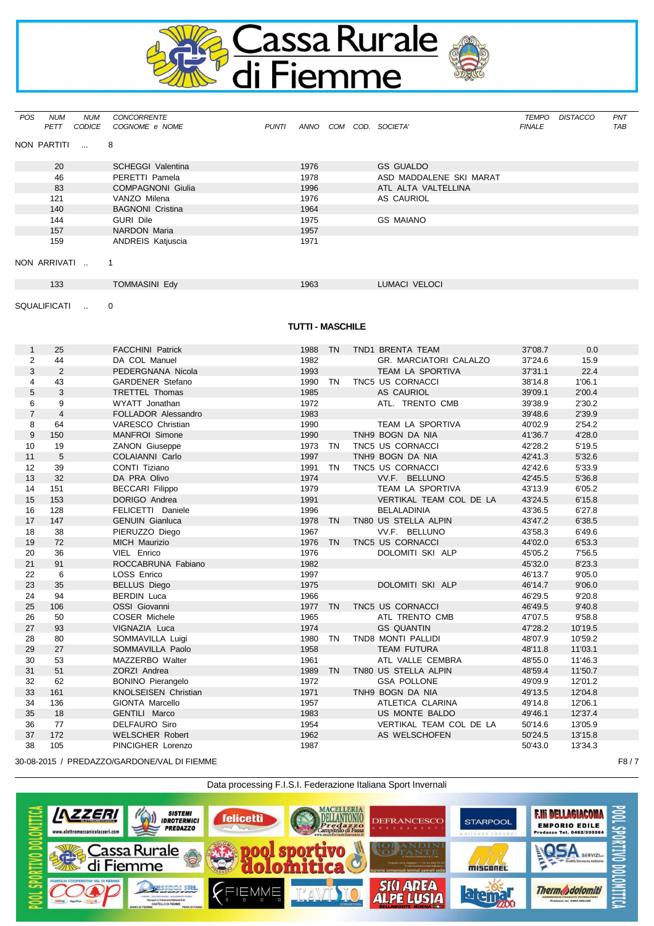

| <b>POS</b> | <b>NUM</b><br><b>PETT</b> | NUM<br>CODICE                               | <b>CONCORRENTE</b><br>COGNOME e NOME | <b>PUNTI</b> | ANNO | COM | COD. SOCIETA'           | TEMPO<br><b>FINALE</b> | <b>DISTACCO</b> | PNT<br><b>TAB</b> |
|------------|---------------------------|---------------------------------------------|--------------------------------------|--------------|------|-----|-------------------------|------------------------|-----------------|-------------------|
|            | NON PARTITI               | $\overline{\phantom{a}}$ 8<br>$\sim$ $\sim$ |                                      |              |      |     |                         |                        |                 |                   |
|            | 20                        |                                             | <b>SCHEGGI Valentina</b>             |              | 1976 |     | <b>GS GUALDO</b>        |                        |                 |                   |
|            | 46                        |                                             | PERETTI Pamela                       |              | 1978 |     | ASD MADDALENE SKI MARAT |                        |                 |                   |
|            | 83                        |                                             | <b>COMPAGNONI Giulia</b>             |              | 1996 |     | ATL ALTA VALTELLINA     |                        |                 |                   |
|            | 121                       |                                             | VANZO Milena                         |              | 1976 |     | AS CAURIOL              |                        |                 |                   |
|            | 140                       |                                             | <b>BAGNONI Cristina</b>              |              | 1964 |     |                         |                        |                 |                   |
|            | 144                       |                                             | <b>GURI Dile</b>                     |              | 1975 |     | <b>GS MAIANO</b>        |                        |                 |                   |
|            | 157                       |                                             | <b>NARDON Maria</b>                  |              | 1957 |     |                         |                        |                 |                   |
|            | 159                       |                                             | <b>ANDREIS Katjuscia</b>             |              | 1971 |     |                         |                        |                 |                   |
|            |                           |                                             |                                      |              |      |     |                         |                        |                 |                   |
|            | NON ARRIVATI              |                                             | $\overline{\phantom{1}}$             |              |      |     |                         |                        |                 |                   |
|            | 133                       |                                             | <b>TOMMASINI Edy</b>                 |              | 1963 |     | <b>LUMACI VELOCI</b>    |                        |                 |                   |

SQUALIFICATI .. 0

## **TUTTI - MASCHILE**

| $\mathbf{1}$   | 25             | <b>FACCHINI Patrick</b>     | 1988    | TN        | TND1 BRENTA TEAM        | 37'08.7 | 0.0     |
|----------------|----------------|-----------------------------|---------|-----------|-------------------------|---------|---------|
| $\overline{2}$ | 44             | DA COL Manuel               | 1982    |           | GR. MARCIATORI CALALZO  | 37'24.6 | 15.9    |
| 3              | 2              | PEDERGNANA Nicola           | 1993    |           | TEAM LA SPORTIVA        | 37'31.1 | 22.4    |
| 4              | 43             | GARDENER Stefano            | 1990 TN |           | TNC5 US CORNACCI        | 38'14.8 | 1'06.1  |
| 5              | 3              | <b>TRETTEL Thomas</b>       | 1985    |           | <b>AS CAURIOL</b>       | 39'09.1 | 2'00.4  |
| 6              | 9              | WYATT Jonathan              | 1972    |           | ATL. TRENTO CMB         | 39'38.9 | 2'30.2  |
| $\overline{7}$ | $\overline{4}$ | FOLLADOR Alessandro         | 1983    |           |                         | 39'48.6 | 2'39.9  |
| 8              | 64             | VARESCO Christian           | 1990    |           | TEAM LA SPORTIVA        | 40'02.9 | 2'54.2  |
| 9              | 150            | <b>MANFROI</b> Simone       | 1990    |           | TNH9 BOGN DA NIA        | 41'36.7 | 4'28.0  |
| 10             | 19             | <b>ZANON Giuseppe</b>       | 1973 TN |           | TNC5 US CORNACCI        | 42'28.2 | 5'19.5  |
| 11             | 5              | COLAIANNI Carlo             | 1997    |           | TNH9 BOGN DA NIA        | 42'41.3 | 5'32.6  |
| 12             | 39             | CONTI Tiziano               | 1991    | <b>TN</b> | TNC5 US CORNACCI        | 42'42.6 | 5'33.9  |
| 13             | 32             | DA PRA Olivo                | 1974    |           | VV.F. BELLUNO           | 42'45.5 | 5'36.8  |
| 14             | 151            | <b>BECCARI Filippo</b>      | 1979    |           | TEAM LA SPORTIVA        | 43'13.9 | 6'05.2  |
| 15             | 153            | DORIGO Andrea               | 1991    |           | VERTIKAL TEAM COL DE LA | 43'24.5 | 6'15.8  |
| 16             | 128            | FELICETTI Daniele           | 1996    |           | <b>BELALADINIA</b>      | 43'36.5 | 6'27.8  |
| 17             | 147            | <b>GENUIN Gianluca</b>      | 1978    | <b>TN</b> | TN80 US STELLA ALPIN    | 43'47.2 | 6'38.5  |
| 18             | 38             | PIERUZZO Diego              | 1967    |           | VV.F. BELLUNO           | 43'58.3 | 6'49.6  |
| 19             | 72             | <b>MICH Maurizio</b>        | 1976    | TN        | TNC5 US CORNACCI        | 44'02.0 | 6'53.3  |
| 20             | 36             | VIEL Enrico                 | 1976    |           | DOLOMITI SKI ALP        | 45'05.2 | 7'56.5  |
| 21             | 91             | ROCCABRUNA Fabiano          | 1982    |           |                         | 45'32.0 | 8'23.3  |
| 22             | 6              | LOSS Enrico                 | 1997    |           |                         | 46'13.7 | 9'05.0  |
| 23             | 35             | <b>BELLUS Diego</b>         | 1975    |           | DOLOMITI SKI ALP        | 46'14.7 | 9'06.0  |
| 24             | 94             | <b>BERDIN Luca</b>          | 1966    |           |                         | 46'29.5 | 9'20.8  |
| 25             | 106            | OSSI Giovanni               | 1977 TN |           | TNC5 US CORNACCI        | 46'49.5 | 9'40.8  |
| 26             | 50             | COSER Michele               | 1965    |           | ATL TRENTO CMB          | 47'07.5 | 9'58.8  |
| 27             | 93             | VIGNAZIA Luca               | 1974    |           | <b>GS QUANTIN</b>       | 47'28.2 | 10'19.5 |
| 28             | 80             | SOMMAVILLA Luigi            | 1980    | <b>TN</b> | TND8 MONTI PALLIDI      | 48'07.9 | 10'59.2 |
| 29             | 27             | SOMMAVILLA Paolo            | 1958    |           | <b>TEAM FUTURA</b>      | 48'11.8 | 11'03.1 |
| 30             | 53             | MAZZERBO Walter             | 1961    |           | ATL VALLE CEMBRA        | 48'55.0 | 11'46.3 |
| 31             | 51             | ZORZI Andrea                | 1989    | TN        | TN80 US STELLA ALPIN    | 48'59.4 | 11'50.7 |
| 32             | 62             | <b>BONINO Pierangelo</b>    | 1972    |           | <b>GSA POLLONE</b>      | 49'09.9 | 12'01.2 |
| 33             | 161            | <b>KNOLSEISEN Christian</b> | 1971    |           | TNH9 BOGN DA NIA        | 49'13.5 | 12'04.8 |
| 34             | 136            | GIONTA Marcello             | 1957    |           | ATLETICA CLARINA        | 49'14.8 | 12'06.1 |
| 35             | 18             | GENTILI Marco               | 1983    |           | US MONTE BALDO          | 49'46.1 | 12'37.4 |
| 36             | 77             | <b>DELFAURO Siro</b>        | 1954    |           | VERTIKAL TEAM COL DE LA | 50'14.6 | 13'05.9 |
| 37             | 172            | <b>WELSCHER Robert</b>      | 1962    |           | AS WELSCHOFEN           | 50'24.5 | 13'15.8 |
| 38             | 105            | PINCIGHER Lorenzo           | 1987    |           |                         | 50'43.0 | 13'34.3 |

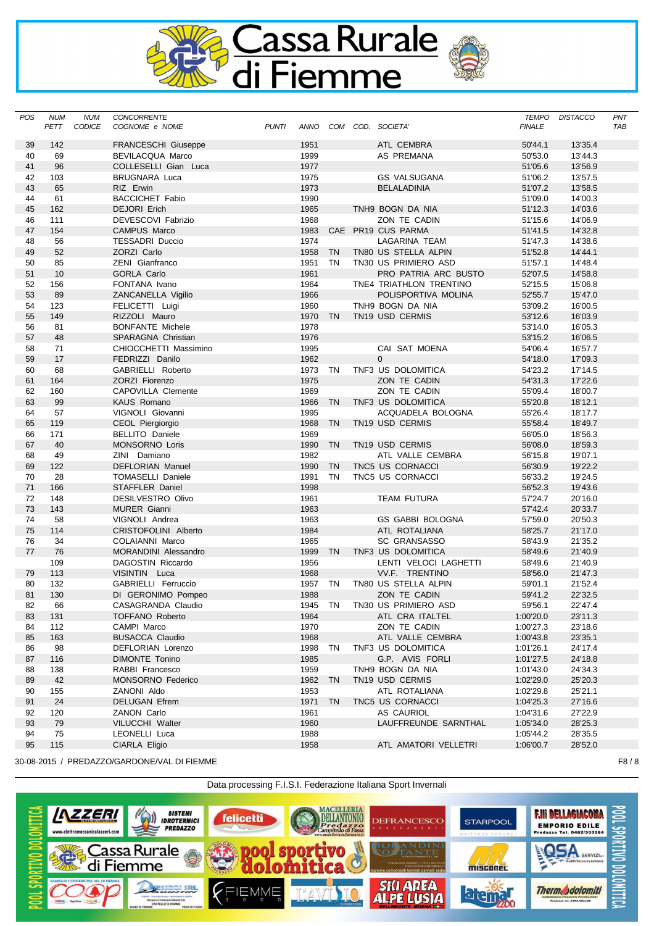

| POS | <b>NUM</b><br>PETT | <b>NUM</b><br><b>CODICE</b> | CONCORRENTE<br>COGNOME e NOME | <b>PUNTI</b> |         |           | ANNO COM COD. SOCIETA'      | <b>FINALE</b> | TEMPO DISTACCO | PNT<br>TAB |
|-----|--------------------|-----------------------------|-------------------------------|--------------|---------|-----------|-----------------------------|---------------|----------------|------------|
| 39  | 142                |                             | <b>FRANCESCHI Giuseppe</b>    |              | 1951    |           | ATL CEMBRA                  | 50'44.1       | 13'35.4        |            |
| 40  | 69                 |                             | <b>BEVILACQUA Marco</b>       |              | 1999    |           | AS PREMANA                  | 50'53.0       | 13'44.3        |            |
| 41  | 96                 |                             | COLLESELLI Gian Luca          |              | 1977    |           |                             | 51'05.6       | 13'56.9        |            |
| 42  | 103                |                             | <b>BRUGNARA Luca</b>          |              | 1975    |           | <b>GS VALSUGANA</b>         | 51'06.2       | 13'57.5        |            |
| 43  | 65                 |                             | RIZ Erwin                     |              | 1973    |           | <b>BELALADINIA</b>          | 51'07.2       | 13'58.5        |            |
| 44  | 61                 |                             | <b>BACCICHET Fabio</b>        |              | 1990    |           |                             | 51'09.0       | 14'00.3        |            |
| 45  | 162                |                             | <b>DEJORI Erich</b>           |              | 1965    |           | TNH9 BOGN DA NIA            | 51'12.3       | 14'03.6        |            |
| 46  | 111                |                             | DEVESCOVI Fabrizio            |              | 1968    |           | ZON TE CADIN                | 51'15.6       | 14'06.9        |            |
| 47  | 154                |                             | <b>CAMPUS Marco</b>           |              | 1983    |           | CAE PR19 CUS PARMA          | 51'41.5       | 14'32.8        |            |
| 48  | 56                 |                             | <b>TESSADRI Duccio</b>        |              | 1974    |           | LAGARINA TEAM               | 51'47.3       | 14'38.6        |            |
| 49  | 52                 |                             | ZORZI Carlo                   |              | 1958    | <b>TN</b> | TN80 US STELLA ALPIN        | 51'52.8       | 14'44.1        |            |
| 50  | 85                 |                             | ZENI Gianfranco               |              | 1951    | TN        | TN30 US PRIMIERO ASD        | 51'57.1       | 14'48.4        |            |
| 51  | 10                 |                             | <b>GORLA Carlo</b>            |              | 1961    |           | PRO PATRIA ARC BUSTO        | 52'07.5       | 14'58.8        |            |
| 52  | 156                |                             | FONTANA Ivano                 |              | 1964    |           | TNE4 TRIATHLON TRENTINO     | 52'15.5       | 15'06.8        |            |
| 53  | 89                 |                             | ZANCANELLA Vigilio            |              | 1966    |           | POLISPORTIVA MOLINA         | 52'55.7       | 15'47.0        |            |
| 54  | 123                |                             | FELICETTI Luigi               |              | 1960    |           | TNH9 BOGN DA NIA            | 53'09.2       | 16'00.5        |            |
| 55  | 149                |                             | RIZZOLI Mauro                 |              | 1970 TN |           | TN19 USD CERMIS             | 53'12.6       | 16'03.9        |            |
| 56  | 81                 |                             | <b>BONFANTE Michele</b>       |              | 1978    |           |                             | 53'14.0       | 16'05.3        |            |
| 57  | 48                 |                             | SPARAGNA Christian            |              | 1976    |           |                             | 53'15.2       | 16'06.5        |            |
| 58  | 71                 |                             | CHIOCCHETTI Massimino         |              | 1995    |           | CAI SAT MOENA               | 54'06.4       | 16'57.7        |            |
| 59  | 17                 |                             | FEDRIZZI Danilo               |              | 1962    |           | $\Omega$                    | 54'18.0       | 17'09.3        |            |
| 60  | 68                 |                             | GABRIELLI Roberto             |              | 1973    | TN        | TNF3 US DOLOMITICA          | 54'23.2       | 17'14.5        |            |
| 61  | 164                |                             | <b>ZORZI Fiorenzo</b>         |              | 1975    |           | ZON TE CADIN                | 54'31.3       | 17'22.6        |            |
| 62  | 160                |                             | CAPOVILLA Clemente            |              | 1969    |           | ZON TE CADIN                | 55'09.4       | 18'00.7        |            |
| 63  | 99                 |                             | <b>KAUS Romano</b>            |              | 1966    | <b>TN</b> | TNF3 US DOLOMITICA          | 55'20.8       | 18'12.1        |            |
| 64  | 57                 |                             | VIGNOLI Giovanni              |              | 1995    |           | ACQUADELA BOLOGNA           | 55'26.4       | 18'17.7        |            |
| 65  | 119                |                             | CEOL Piergiorgio              |              | 1968    | TN        | TN19 USD CERMIS             | 55'58.4       | 18'49.7        |            |
| 66  | 171                |                             | <b>BELLITO Daniele</b>        |              | 1969    |           |                             | 56'05.0       | 18'56.3        |            |
| 67  | 40                 |                             | <b>MONSORNO Loris</b>         |              | 1990    | <b>TN</b> | TN <sub>19</sub> USD CERMIS | 56'08.0       | 18'59.3        |            |
| 68  | 49                 |                             | ZINI Damiano                  |              | 1982    |           | ATL VALLE CEMBRA            | 56'15.8       | 19'07.1        |            |
| 69  | 122                |                             | <b>DEFLORIAN Manuel</b>       |              | 1990    | <b>TN</b> | TNC5 US CORNACCI            | 56'30.9       | 19'22.2        |            |
| 70  | 28                 |                             | <b>TOMASELLI Daniele</b>      |              | 1991    | <b>TN</b> | TNC5 US CORNACCI            | 56'33.2       | 19'24.5        |            |
| 71  | 166                |                             | STAFFLER Daniel               |              | 1998    |           |                             | 56'52.3       | 19'43.6        |            |
| 72  | 148                |                             | <b>DESILVESTRO Olivo</b>      |              | 1961    |           | <b>TEAM FUTURA</b>          | 57'24.7       | 20'16.0        |            |
| 73  | 143                |                             | <b>MURER Gianni</b>           |              | 1963    |           |                             | 57'42.4       | 20'33.7        |            |
| 74  | 58                 |                             | VIGNOLI Andrea                |              | 1963    |           | <b>GS GABBI BOLOGNA</b>     | 57'59.0       | 20'50.3        |            |
| 75  | 114                |                             | CRISTOFOLINI Alberto          |              | 1984    |           | ATL ROTALIANA               | 58'25.7       | 21'17.0        |            |
| 76  | 34                 |                             | COLAIANNI Marco               |              | 1965    |           | <b>SC GRANSASSO</b>         | 58'43.9       | 21'35.2        |            |
| 77  | 76                 |                             | <b>MORANDINI Alessandro</b>   |              | 1999    | <b>TN</b> | TNF3 US DOLOMITICA          | 58'49.6       | 21'40.9        |            |
|     | 109                |                             | DAGOSTIN Riccardo             |              | 1956    |           | LENTI VELOCI LAGHETTI       | 58'49.6       | 21'40.9        |            |
| 79  | 113                |                             | VISINTIN Luca                 |              | 1968    |           | VV.F. TRENTINO              | 58'56.0       | 21'47.3        |            |
| 80  | 132                |                             | GABRIELLI Ferruccio           |              | 1957 TN |           | TN80 US STELLA ALPIN        | 59'01.1       | 21'52.4        |            |
| 81  | 130                |                             | DI GERONIMO Pompeo            |              | 1988    |           | ZON TE CADIN                | 59'41.2       | 22'32.5        |            |
| 82  | 66                 |                             | CASAGRANDA Claudio            |              | 1945 TN |           | TN30 US PRIMIERO ASD        | 59'56.1       | 22'47.4        |            |
| 83  | 131                |                             | <b>TOFFANO Roberto</b>        |              | 1964    |           | ATL CRA ITALTEL             | 1:00'20.0     | 23'11.3        |            |
| 84  | 112                |                             | CAMPI Marco                   |              | 1970    |           | ZON TE CADIN                | 1:00'27.3     | 23'18.6        |            |
| 85  | 163                |                             | <b>BUSACCA Claudio</b>        |              | 1968    |           | ATL VALLE CEMBRA            | 1:00'43.8     | 23'35.1        |            |
| 86  | 98                 |                             | DEFLORIAN Lorenzo             |              | 1998 TN |           | TNF3 US DOLOMITICA          | 1:01'26.1     | 24'17.4        |            |
| 87  | 116                |                             | DIMONTE Tonino                |              | 1985    |           | G.P. AVIS FORLI             | 1:01'27.5     | 24'18.8        |            |
| 88  | 138                |                             | RABBI Francesco               |              | 1959    |           | TNH9 BOGN DA NIA            | 1:01'43.0     | 24'34.3        |            |
| 89  | 42                 |                             | <b>MONSORNO Federico</b>      |              | 1962 TN |           | TN <sub>19</sub> USD CERMIS | 1:02'29.0     | 25'20.3        |            |
| 90  | 155                |                             | ZANONI Aldo                   |              | 1953    |           | ATL ROTALIANA               | 1:02'29.8     | 25'21.1        |            |
| 91  | 24                 |                             | <b>DELUGAN Efrem</b>          |              | 1971    | <b>TN</b> | TNC5 US CORNACCI            | 1:04'25.3     | 27'16.6        |            |
| 92  | 120                |                             | ZANON Carlo                   |              | 1961    |           | AS CAURIOL                  | 1:04'31.6     | 27'22.9        |            |
| 93  | 79                 |                             | VILUCCHI Walter               |              | 1960    |           | LAUFFREUNDE SARNTHAL        | 1:05'34.0     | 28'25.3        |            |
| 94  | 75                 |                             | LEONELLI Luca                 |              | 1988    |           |                             | 1:05'44.2     | 28'35.5        |            |
| 95  | 115                |                             | CIARLA Eligio                 |              | 1958    |           | ATL AMATORI VELLETRI        | 1:06'00.7     | 28'52.0        |            |
|     |                    |                             |                               |              |         |           |                             |               |                |            |